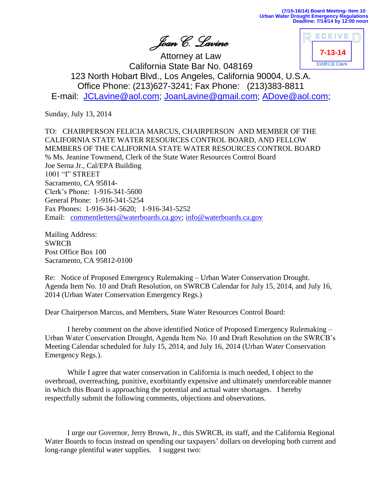*Joan C. Lavine*



Attorney at Law California State Bar No. 048169 123 North Hobart Blvd., Los Angeles, California 90004, U.S.A. Office Phone: (213)627-3241; Fax Phone: (213)383-8811 E-mail: [JCLavine@aol.com;](mailto:JCLavine@aol.com) [JoanLavine@gmail.com;](mailto:JoanLavine@gmail.com) [ADove@aol.com;](mailto:ADove@aol.com)

Sunday, July 13, 2014

TO: CHAIRPERSON FELICIA MARCUS, CHAIRPERSON AND MEMBER OF THE CALIFORNIA STATE WATER RESOURCES CONTROL BOARD, AND FELLOW MEMBERS OF THE CALIFORNIA STATE WATER RESOURCES CONTROL BOARD % Ms. Jeanine Townsend, Clerk of the State Water Resources Control Board Joe Serna Jr., Cal/EPA Building 1001 "I" STREET Sacramento, CA 95814- Clerk's Phone: 1-916-341-5600 General Phone: 1-916-341-5254 Fax Phones: 1-916-341-5620; 1-916-341-5252 Email: [commentletters@waterboards.ca.gov;](mailto:commentletters@waterboards.ca.gov) [info@waterboards.ca.gov](mailto:info@waterboards.ca.gov)

Mailing Address: SWRCB Post Office Box 100 Sacramento, CA 95812-0100

Re: Notice of Proposed Emergency Rulemaking – Urban Water Conservation Drought. Agenda Item No. 10 and Draft Resolution, on SWRCB Calendar for July 15, 2014, and July 16, 2014 (Urban Water Conservation Emergency Regs.)

Dear Chairperson Marcus, and Members, State Water Resources Control Board:

I hereby comment on the above identified Notice of Proposed Emergency Rulemaking – Urban Water Conservation Drought, Agenda Item No. 10 and Draft Resolution on the SWRCB's Meeting Calendar scheduled for July 15, 2014, and July 16, 2014 (Urban Water Conservation Emergency Regs.).

While I agree that water conservation in California is much needed, I object to the overbroad, overreaching, punitive, exorbitantly expensive and ultimately unenforceable manner in which this Board is approaching the potential and actual water shortages. I hereby respectfully submit the following comments, objections and observations.

I urge our Governor, Jerry Brown, Jr., this SWRCB, its staff, and the California Regional Water Boards to focus instead on spending our taxpayers' dollars on developing both current and long-range plentiful water supplies. I suggest two: